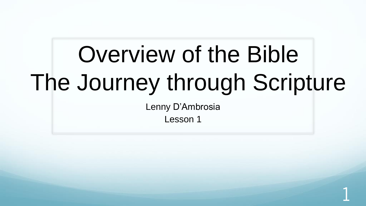# Overview of the Bible The Journey through Scripture

Lenny D'Ambrosia Lesson 1

1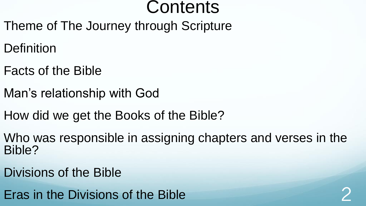## **Contents**

- Theme of The Journey through Scripture
- **Definition**
- Facts of the Bible
- Man's relationship with God
- How did we get the Books of the Bible?
- Who was responsible in assigning chapters and verses in the Bible?
- Divisions of the Bible
- Eras in the Divisions of the Bible 2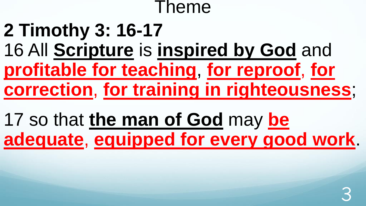### Theme

## **2 Timothy 3: 16-17**  16 All **Scripture** is **inspired by God** and **profitable for teaching**, **for reproof**, **for correction**, **for training in righteousness**;

17 so that **the man of God** may **be adequate**, **equipped for every good work**.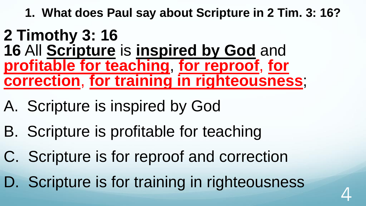**1. What does Paul say about Scripture in 2 Tim. 3: 16?** 

#### **2 Timothy 3: 16 16** All **Scripture** is **inspired by God** and **profitable for teaching**, **for reproof**, **for correction**, **for training in righteousness**;

- A. Scripture is inspired by God
- B. Scripture is profitable for teaching
- C. Scripture is for reproof and correction
- D. Scripture is for training in righteousness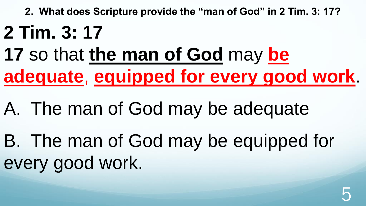**2. What does Scripture provide the "man of God" in 2 Tim. 3: 17?**

## **2 Tim. 3: 17**

- **17** so that **the man of God** may **be adequate**, **equipped for every good work**.
- A. The man of God may be adequate
- B. The man of God may be equipped for every good work.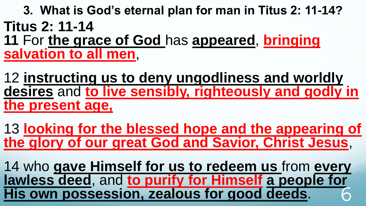**3. What is God's eternal plan for man in Titus 2: 11-14? Titus 2: 11-14 11** For **the grace of God** has **appeared**, **bringing salvation to all men**,

12 **instructing us to deny ungodliness and worldly desires** and **to live sensibly, righteously and godly in the present age,**

13 **looking for the blessed hope and the appearing of the glory of our great God and Savior, Christ Jesus**,

14 who **gave Himself for us to redeem us** from **every lawless deed**, and **to purify for Himself a people for His own possession, zealous for good deeds**. 6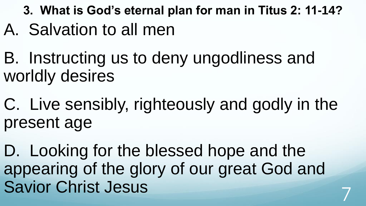**3. What is God's eternal plan for man in Titus 2: 11-14?**

- A. Salvation to all men
- B. Instructing us to deny ungodliness and worldly desires
- C. Live sensibly, righteously and godly in the present age
- D. Looking for the blessed hope and the appearing of the glory of our great God and Savior Christ Jesus 7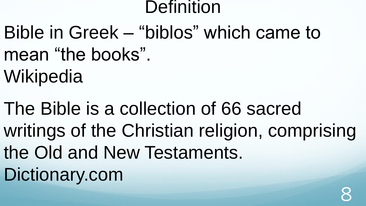### **Definition**

- Bible in Greek "biblos" which came to mean "the books".
- **Wikipedia**
- The Bible is a collection of 66 sacred writings of the Christian religion, comprising the Old and New Testaments. Dictionary.com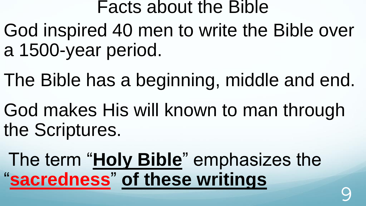#### Facts about the Bible

- God inspired 40 men to write the Bible over a 1500-year period.
- The Bible has a beginning, middle and end.
- God makes His will known to man through the Scriptures.
- The term "**Holy Bible**" emphasizes the "**sacredness**" **of these writings**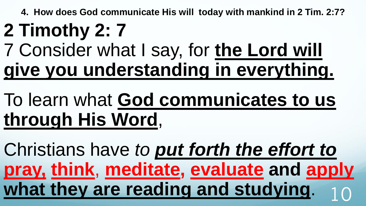**4. How does God communicate His will today with mankind in 2 Tim. 2:7?**

# **2 Timothy 2: 7**

# 7 Consider what I say, for **the Lord will give you understanding in everything.**

# To learn what **God communicates to us through His Word**,

Christians have *to put forth the effort to* **pray, think**, **meditate, evaluate and apply** what they are reading and studying.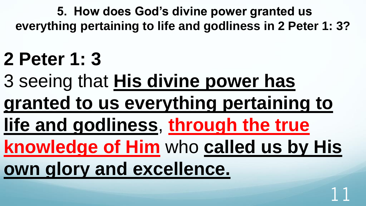**5. How does God's divine power granted us everything pertaining to life and godliness in 2 Peter 1: 3?**

# **2 Peter 1: 3**

- 3 seeing that **His divine power has granted to us everything pertaining to**
- **life and godliness**, **through the true**

**knowledge of Him** who **called us by His** 

11

**own glory and excellence.**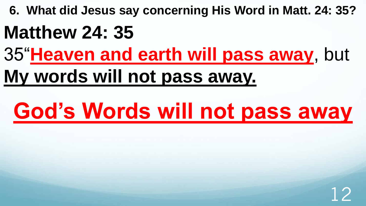**6. What did Jesus say concerning His Word in Matt. 24: 35?**

## **Matthew 24: 35**

35"**Heaven and earth will pass away**, but

## **My words will not pass away.**

# **God's Words will not pass away**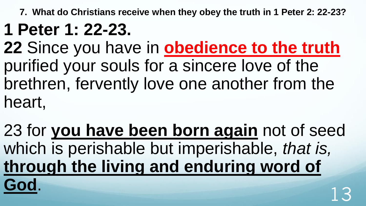**7. What do Christians receive when they obey the truth in 1 Peter 2: 22-23?**

## **1 Peter 1: 22-23.**

**22** Since you have in **obedience to the truth**  purified your souls for a sincere love of the brethren, fervently love one another from the heart,

23 for **you have been born again** not of seed which is perishable but imperishable, *that is,* **through the living and enduring word of God**.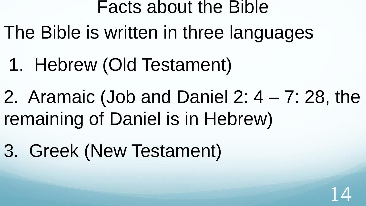### Facts about the Bible

- The Bible is written in three languages
	- 1. Hebrew (Old Testament)
- 2. Aramaic (Job and Daniel 2: 4 7: 28, the remaining of Daniel is in Hebrew)
- 3. Greek (New Testament)

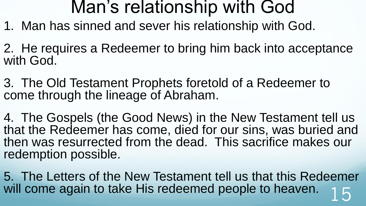### Man's relationship with God

- 1. Man has sinned and sever his relationship with God.
- 2. He requires a Redeemer to bring him back into acceptance with God.
- 3. The Old Testament Prophets foretold of a Redeemer to come through the lineage of Abraham.
- 4. The Gospels (the Good News) in the New Testament tell us that the Redeemer has come, died for our sins, was buried and then was resurrected from the dead. This sacrifice makes our redemption possible.
- 5. The Letters of the New Testament tell us that this Redeemer will come again to take His redeemed people to heaven.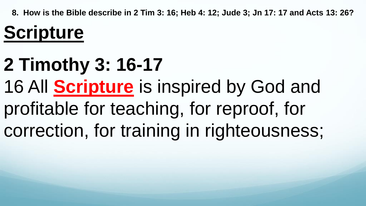**8. How is the Bible describe in 2 Tim 3: 16; Heb 4: 12; Jude 3; Jn 17: 17 and Acts 13: 26?**

# **Scripture**

# **2 Timothy 3: 16-17**  16 All **Scripture** is inspired by God and profitable for teaching, for reproof, for correction, for training in righteousness;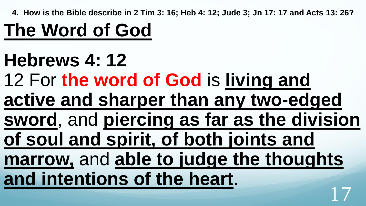**4. How is the Bible describe in 2 Tim 3: 16; Heb 4: 12; Jude 3; Jn 17: 17 and Acts 13: 26?**

# **The Word of God**

- **Hebrews 4: 12**
- 12 For **the word of God** is **living and**
- **active and sharper than any two-edged**
- **sword**, and **piercing as far as the division of soul and spirit, of both joints and**
- **marrow,** and **able to judge the thoughts and intentions of the heart**. 17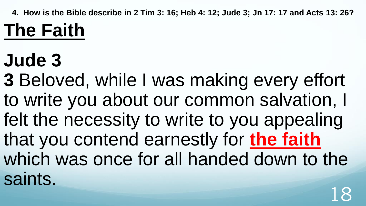**4. How is the Bible describe in 2 Tim 3: 16; Heb 4: 12; Jude 3; Jn 17: 17 and Acts 13: 26?**

# **The Faith**

# **Jude 3**

**3** Beloved, while I was making every effort to write you about our common salvation, I felt the necessity to write to you appealing that you contend earnestly for **the faith** which was once for all handed down to the saints.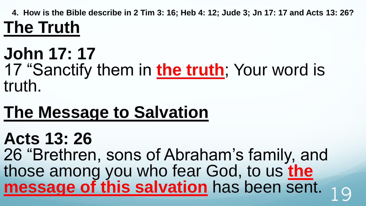**4. How is the Bible describe in 2 Tim 3: 16; Heb 4: 12; Jude 3; Jn 17: 17 and Acts 13: 26? The Truth**

### **John 17: 17** 17 "Sanctify them in **the truth**; Your word is truth.

## **The Message to Salvation**

## **Acts 13: 26**

26 "Brethren, sons of Abraham's family, and those among you who fear God, to us **the message of this salvation** has been sent. <sub>19</sub>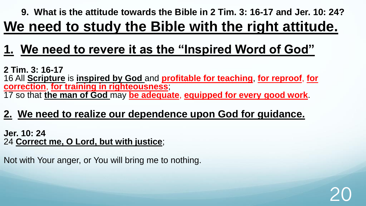#### **9. What is the attitude towards the Bible in 2 Tim. 3: 16-17 and Jer. 10: 24? We need to study the Bible with the right attitude.**

20

#### **1. We need to revere it as the "Inspired Word of God"**

**2 Tim. 3: 16-17**  16 All **Scripture** is **inspired by God** and **profitable for teaching**, **for reproof**, **for correction**, **for training in righteousness**; 17 so that **the man of God** may **be adequate**, **equipped for every good work**.

#### **2. We need to realize our dependence upon God for guidance.**

**Jer. 10: 24**  24 **Correct me, O Lord, but with justice**;

Not with Your anger, or You will bring me to nothing.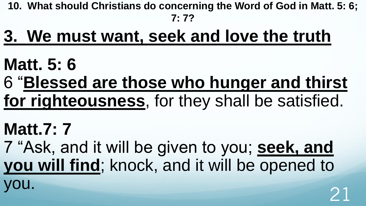**10. What should Christians do concerning the Word of God in Matt. 5: 6; 7: 7?**

## **3. We must want, seek and love the truth**

- **Matt. 5: 6**
- 6 "**Blessed are those who hunger and thirst for righteousness**, for they shall be satisfied.
- **Matt.7: 7** 7 "Ask, and it will be given to you; **seek, and you will find**; knock, and it will be opened to you. <sup>21</sup>
-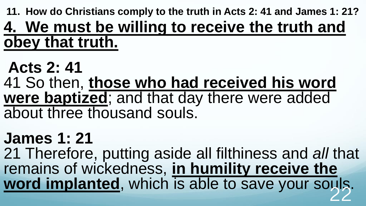**11. How do Christians comply to the truth in Acts 2: 41 and James 1: 21? 4. We must be willing to receive the truth and obey that truth.**

## **Acts 2: 41**

41 So then, **those who had received his word were baptized**; and that day there were added about three thousand souls.

## **James 1: 21**

21 Therefore, putting aside all filthiness and *all* that remains of wickedness, **in humility receive the**  word implanted, which is able to save your souls.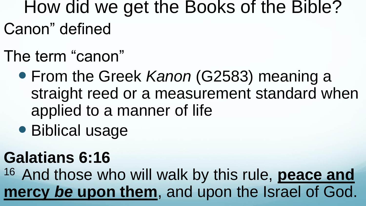How did we get the Books of the Bible? Canon" defined

- The term "canon"
	- From the Greek *Kanon* (G2583) meaning a straight reed or a measurement standard when applied to a manner of life
	- Biblical usage

## **Galatians 6:16**

<sup>16</sup> And those who will walk by this rule, **peace and mercy** *be* **upon them**, and upon the Israel of God.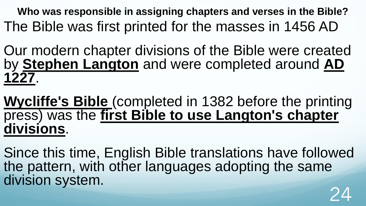**Who was responsible in assigning chapters and verses in the Bible?** The Bible was first printed for the masses in 1456 AD

Our modern chapter divisions of the Bible were created by **Stephen Langton** and were completed around **AD 1227**.

**Wycliffe's Bible** (completed in 1382 before the printing press) was the **first Bible to use Langton's chapter divisions**.

Since this time, English Bible translations have followed the pattern, with other languages adopting the same division system. 24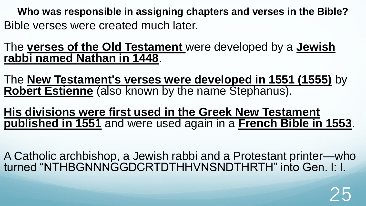**Who was responsible in assigning chapters and verses in the Bible?** Bible verses were created much later.

The **verses of the Old Testament** were developed by a **Jewish rabbi named Nathan in 1448**.

The **New Testament's verses were developed in 1551 (1555)** by **Robert Estienne** (also known by the name Stephanus).

**His divisions were first used in the Greek New Testament published in 1551** and were used again in a **French Bible in 1553**.

A Catholic archbishop, a Jewish rabbi and a Protestant printer—who turned "NTHBGNNNGGDCRTDTHHVNSNDTHRTH" into Gen. l: l.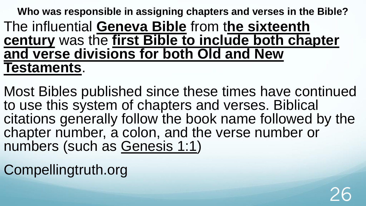**Who was responsible in assigning chapters and verses in the Bible?** The influential **Geneva Bible** from t**he sixteenth century** was the **first Bible to include both chapter and verse divisions for both Old and New Testaments**.

Most Bibles published since these times have continued to use this system of chapters and verses. Biblical citations generally follow the book name followed by the chapter number, a colon, and the verse number or numbers (such as [Genesis 1:1\)](https://biblia.com/bible/esv/Gen%201.1)

Compellingtruth.org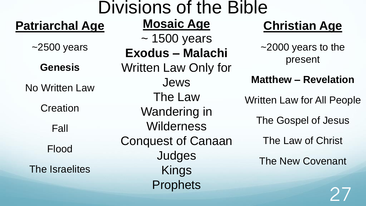| <b>Divisions of the Bible</b> |                                              |                                     |
|-------------------------------|----------------------------------------------|-------------------------------------|
| <b>Patriarchal Age</b>        | <b>Mosaic Age</b>                            | <b>Christian Age</b>                |
| $~2500$ years                 | $\sim$ 1500 years<br><b>Exodus - Malachi</b> | $\sim$ 2000 years to the<br>present |
| <b>Genesis</b>                | <b>Written Law Only for</b><br><b>Jews</b>   | <b>Matthew - Revelation</b>         |
| <b>No Written Law</b>         | The Law                                      | <b>Written Law for All People</b>   |
| Creation                      | <b>Wandering in</b>                          | The Gospel of Jesus                 |
| Fall                          | <b>Wilderness</b>                            |                                     |
| Flood                         | <b>Conquest of Canaan</b>                    | The Law of Christ                   |
| The Israelites                | Judges<br><b>Kings</b>                       | <b>The New Covenant</b>             |
|                               | <b>Prophets</b>                              |                                     |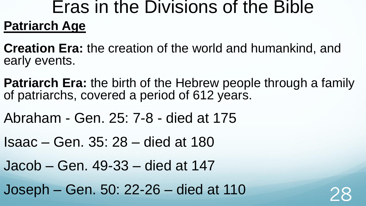### Eras in the Divisions of the Bible **Patriarch Age**

**Creation Era:** the creation of the world and humankind, and early events.

- **Patriarch Era:** the birth of the Hebrew people through a family of patriarchs, covered a period of 612 years.
- Abraham Gen. 25: 7-8 died at 175
- Isaac Gen. 35: 28 died at 180
- Jacob Gen. 49-33 died at 147
- $Joseph Gen. 50: 22-26 died at 110$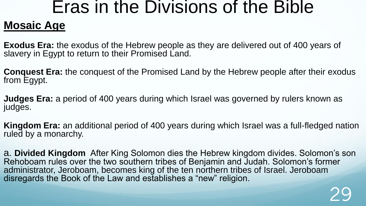## Eras in the Divisions of the Bible

#### **Mosaic Age**

**Exodus Era:** the exodus of the Hebrew people as they are delivered out of 400 years of slavery in Egypt to return to their Promised Land.

**Conquest Era:** the conquest of the Promised Land by the Hebrew people after their exodus from Egypt.

**Judges Era:** a period of 400 years during which Israel was governed by rulers known as judges.

**Kingdom Era:** an additional period of 400 years during which Israel was a full-fledged nation ruled by a monarchy.

a. **Divided Kingdom** After King Solomon dies the Hebrew kingdom divides. Solomon's son Rehoboam rules over the two southern tribes of Benjamin and Judah. Solomon's former administrator, Jeroboam, becomes king of the ten northern tribes of Israel. Jeroboam disregards the Book of the Law and establishes a "new" religion.

29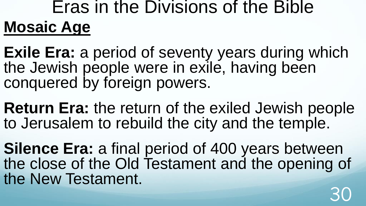## Eras in the Divisions of the Bible **Mosaic Age**

**Exile Era:** a period of seventy years during which the Jewish people were in exile, having been conquered by foreign powers.

**Return Era:** the return of the exiled Jewish people to Jerusalem to rebuild the city and the temple.

**Silence Era:** a final period of 400 years between the close of the Old Testament and the opening of the New Testament. 30